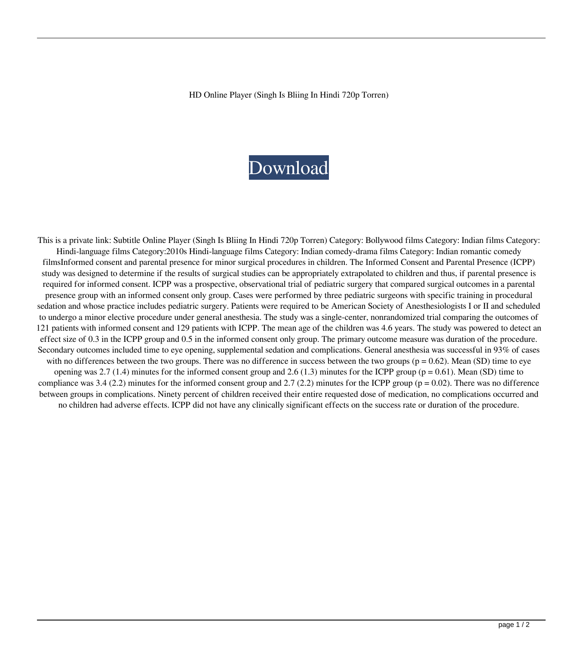HD Online Player (Singh Is Bliing In Hindi 720p Torren)



This is a private link: Subtitle Online Player (Singh Is Bliing In Hindi 720p Torren) Category: Bollywood films Category: Indian films Category: Hindi-language films Category:2010s Hindi-language films Category: Indian comedy-drama films Category: Indian romantic comedy filmsInformed consent and parental presence for minor surgical procedures in children. The Informed Consent and Parental Presence (ICPP) study was designed to determine if the results of surgical studies can be appropriately extrapolated to children and thus, if parental presence is required for informed consent. ICPP was a prospective, observational trial of pediatric surgery that compared surgical outcomes in a parental presence group with an informed consent only group. Cases were performed by three pediatric surgeons with specific training in procedural sedation and whose practice includes pediatric surgery. Patients were required to be American Society of Anesthesiologists I or II and scheduled to undergo a minor elective procedure under general anesthesia. The study was a single-center, nonrandomized trial comparing the outcomes of 121 patients with informed consent and 129 patients with ICPP. The mean age of the children was 4.6 years. The study was powered to detect an effect size of 0.3 in the ICPP group and 0.5 in the informed consent only group. The primary outcome measure was duration of the procedure. Secondary outcomes included time to eye opening, supplemental sedation and complications. General anesthesia was successful in 93% of cases with no differences between the two groups. There was no difference in success between the two groups ( $p = 0.62$ ). Mean (SD) time to eve opening was 2.7 (1.4) minutes for the informed consent group and 2.6 (1.3) minutes for the ICPP group ( $p = 0.61$ ). Mean (SD) time to compliance was  $3.4$  (2.2) minutes for the informed consent group and  $2.7$  (2.2) minutes for the ICPP group ( $p = 0.02$ ). There was no difference between groups in complications. Ninety percent of children received their entire requested dose of medication, no complications occurred and no children had adverse effects. ICPP did not have any clinically significant effects on the success rate or duration of the procedure.